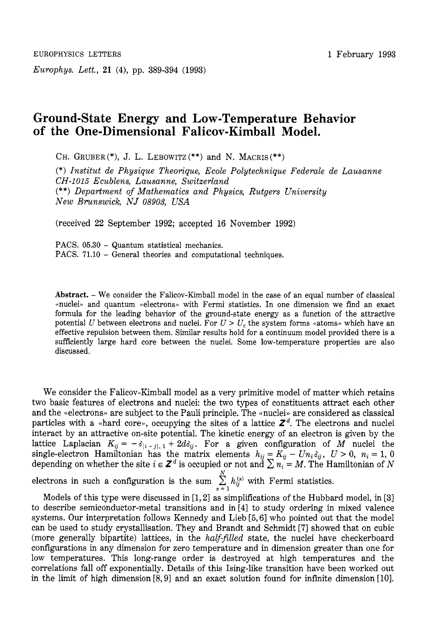*Europhys. Lett.,* **21 (4),** pp. **389-394 (1993)** 

## **1** February **1993**

## **Ground-State Energy and Low-Temperature Behavior of the One-Dimensional Falicov-Kimball Model.**

CH. GRUBER  $(*), J. L. LEBOWITZ (**)$  and N. MACRIS  $(**)$ 

(\*) *Institut de Physique Theorique, Ecole Polytechnique Federale de Lausanne CH-1015 Ecublens, Lausanne, Switzerland*  (\*\*) *Department* of *Mathematics and Physics, Rutgers University New Brunswick, NJ 08903, USA* 

(received **22** September **1992;** accepted **16** November **1992)** 

PACS. 05.30 - Quantum statistical mechanics. PACS. 71.10 - General theories and computational techniques.

**Abstract.** - We consider the Falicov-Kimball model in the case of an equal number of classical «nuclei» and quantum «electrons» with Fermi statistics. In one dimension we find an exact formula for the leading behavior of the ground-state energy as a function of the attractive potential *U* between electrons and nuclei. For  $U > U_c$ , the system forms «atoms» which have an effective repulsion between them. Similar results hold for a continuum model provided there is a sufficiently large hard core between the nuclei. Some low-temperature properties are also discussed.

We consider the Falicov-Kimball model as a very primitive model of matter which retains two basic features of electrons and nuclei: the two types of constituents attract each other and the «electrons» are subject to the Pauli principle. The «nuclei» are considered as classical particles with a «hard core», occupying the sites of a lattice  $Z<sup>d</sup>$ . The electrons and nuclei interact by an attractive on-site potential. The kinetic energy of an electron is given by the lattice Laplacian  $K_{ij} = -\delta_{|i-j|,1} + 2d\delta_{ij}$ . For a given configuration of M nuclei the single-electron Hamiltonian has the matrix elements  $h_{ij} = K_{ij} - Un_i\delta_{ij}$ ,  $U > 0$ ,  $n_i = 1$ , 0 depending on whether the site  $i \in \mathbb{Z}^d$  is occupied or not and  $\sum n_i = M$ . The Hamiltonian of *N* 

electrons in such a configuration is the sum  $\sum_{i=1}^{N} h_{ij}^{(a)}$  with Fermi statistics.  $\alpha=1$ 

Models of this type were discussed in **[l,2]** as simplifications of the Hubbard model, in **[3]**  to describe semiconductor-metal transitions and in **[4]** to study ordering in mixed valence systems. **Our** interpretation follows Kennedy and Lieb **[5,6]** who pointed out that the model can be used to study crystallisation. They and Brandt and Schmidt **[7]** showed that on cubic (more generally bipartite) lattices, in the *halfifilled* state, the nuclei have checkerboard configurations in any dimension for zero temperature and in dimension greater than one for low temperatures. This long-range order is destroyed at high temperatures and the correlations fall off exponentially. Details of this Ising-like transition have been worked out in the limit of high dimension **[8,9]** and an exact solution found for infinite dimension **[lo].**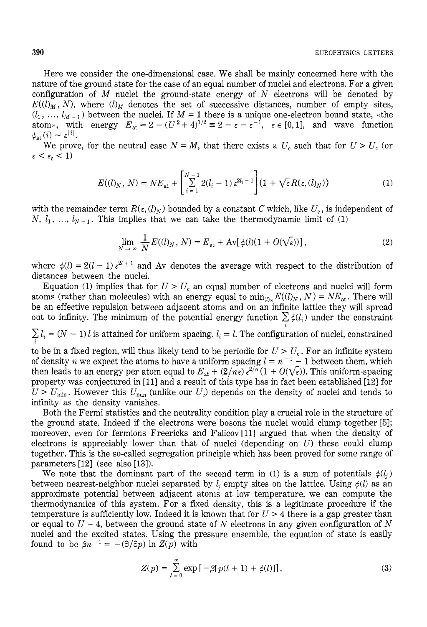Here we consider the one-dimensional case. We shall be mainly concerned here with the nature of the ground state for the case of an equal number of nuclei and electrons. For a given configuration of *M* nuclei the ground-state energy of N electrons will be denoted by  $E((l_M, N)$ , where  $(l_M$  denotes the set of successive distances, number of empty sites,  $(l_1, ..., l_{M-1})$  between the nuclei. If  $M = 1$  there is a unique one-electron bound state, «the atom», with energy  $E_{at} = 2 - (U^2 + 4)^{1/2} \equiv 2 - \varepsilon - \varepsilon^{-1}$ ,  $\varepsilon \in [0,1]$ , and wave function  $\psi_{\text{at}}(i) \sim \varepsilon^{|i|}.$ 

We prove, for the neutral case  $N = M$ , that there exists a  $U_c$  such that for  $U > U_c$  (or  $\varepsilon < \varepsilon_c < 1$ 

$$
E((l)_N, N) = NE_{\mathsf{at}} + \left[\sum_{i=1}^{N-1} 2(l_i+1) \,\varepsilon^{2l_i+1}\right] (1 + \sqrt{\varepsilon} R(\varepsilon, (l)_N)) \tag{1}
$$

with the remainder term  $R(\varepsilon, (l)_N)$  bounded by a constant  $C$  which, like  $U_c$ , is independent of N,  $l_1$ , ...,  $l_{N-1}$ . This implies that we can take the thermodynamic limit of (1)

$$
\lim_{N \to \infty} \frac{1}{N} E((l)_N, N) = E_{\text{at}} + \text{Av}[\phi(l)(1 + O(\sqrt{\varepsilon}))],
$$
\n(2)

where  $\phi(l) = 2(l + 1) \varepsilon^{2l + 1}$  and Av denotes the average with respect to the distribution of distances between the nuclei.

Equation (1) implies that for  $U > U_c$  an equal number of electrons and nuclei will form atoms (rather than molecules) with an energy equal to  $\min_{(l)_N} E((l)_N, N) = NE_{at}$ . There will be an effective repulsion between adjacent atoms and on an infinite lattice they will spread out to infinity. The minimum of the potential energy function  $\sum \phi(l_i)$  under the constraint **2** 

 $\sum l_i = (N-1) l$  is attained for uniform spacing,  $l_i = l$ . The configuration of nuclei, constrained **2** 

to be in a fixed region, will thus likely tend to be periodic for  $U > U_c$ . For an infinite system of density *n* we expect the atoms to have a uniform spacing  $l = n^{-1} - 1$  between them, which then leads to an energy per atom equal to  $E_{at} + (2/n_{\epsilon}) \varepsilon^{2/n} (1 + O(\sqrt{\epsilon}))$ . This uniform-spacing property was conjectured in [ll] and a result of this type has in fact been established [12] for  $U > U_{\text{min}}$ . However this  $U_{\text{min}}$  (unlike our  $U_c$ ) depends on the density of nuclei and tends to infinity as the density vanishes.

Both the Fermi statistics and the neutrality condition play a crucial role in the structure of the ground state. Indeed if the electrons were bosons the nuclei would clump together **[51;**  moreover, even for fermions Freericks and Falicov<sup>[11]</sup> argued that when the density of electrons is appreciably lower than that of nuclei (depending on *U)* these could clump together. This is the so-called segregation principle which has been proved for some range of parameters  $[12]$  (see also  $[13]$ ).

We note that the dominant part of the second term in (1) is a sum of potentials  $\phi(l_i)$ between nearest-neighbor nuclei separated by  $l_i$  empty sites on the lattice. Using  $\phi(l)$  as an approximate potential between adjacent atoms at low temperature, we can compute the thermodynamics of this system. For a fixed density, this is a legitimate procedure if the temperature is sufficiently low. Indeed it is known that for  $U > 4$  there is a gap greater than or equal to  $U - 4$ , between the ground state of N electrons in any given configuration of N nuclei and the excited states. Using the pressure ensemble, the equation of state is easily found to be  $\beta n^{-1} = -(\partial/\partial p) \ln Z(p)$  with

$$
Z(p) = \sum_{l=0}^{\infty} \exp\left[-\beta[p(l+1) + \phi(l)]\right],\tag{3}
$$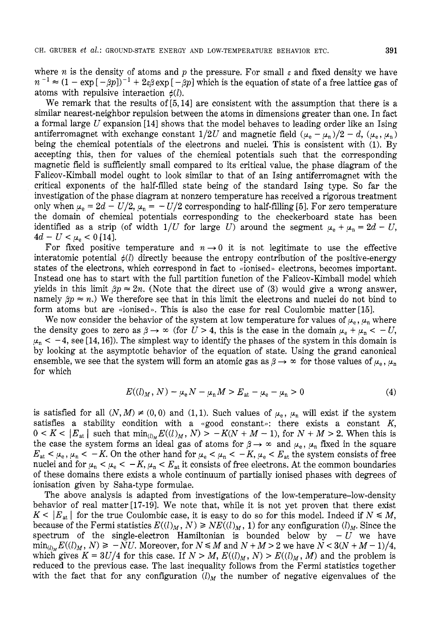where *n* is the density of atoms and *p* the pressure. For small  $\varepsilon$  and fixed density we have  $n^{-1} \approx (1 - \exp[-\beta p])^{-1} + 2\epsilon\beta \exp[-\beta p]$  which is the equation of state of a free lattice gas of atoms with repulsive interaction  $\phi(l)$ .

We remark that the results of **[5,14]** are consistent with the assumption that there is a similar nearest-neighbor repulsion between the atoms in dimensions greater than one. In fact a formal large *U* expansion **[14]** shows that the model behaves to leading order like an Ising antiferromagnet with exchange constant  $1/2U$  and magnetic field  $(\mu_e - \mu_n)/2 - d$ ,  $(\mu_e, \mu_n)$ being the chemical potentials of the electrons and nuclei. This is consistent with **(1).** By accepting this, then for values of the chemical potentials such that the corresponding magnetic field is sufficiently small compared to its critical value, the phase diagram of the Falicov-Kimball model ought to look similar to that of an Ising antiferromagnet with the critical exponents of the half-filled state being of the standard Ising type. So far the investigation of the phase diagram at nonzero temperature has received a rigorous treatment only when  $\mu_e = 2d - U/2$ ,  $\mu_n = -U/2$  corresponding to half-filling [5]. For zero temperature the domain of chemical potentials corresponding to the checkerboard state has been identified as a strip (of width  $1/U$  for large *U*) around the segment  $\mu_e + \mu_n = 2d - U$ ,  $4d - U < \mu_e < 0$  [14].

For fixed positive temperature and  $n \rightarrow 0$  it is not legitimate to use the effective interatomic potential  $\phi(l)$  directly because the entropy contribution of the positive-energy states of the electrons, which correspond in fact to  $\alpha$  ionised, electrons, becomes important. Instead one has to start with the full partition function of the Falicov-Kimball model which yields in this limit  $\beta p \approx 2n$ . (Note that the direct use of (3) would give a wrong answer, namely  $\beta p \approx n$ .) We therefore see that in this limit the electrons and nuclei do not bind to form atoms but are «ionised». This is also the case for real Coulombic matter [15].

We now consider the behavior of the system at low temperature for values of  $\mu_e$ ,  $\mu_n$  where the density goes to zero as  $\beta \rightarrow \infty$  (for  $U > 4$ , this is the case in the domain  $\mu_e + \mu_n < -U$ ,  $\mu_n < -4$ , see [14, 16]). The simplest way to identify the phases of the system in this domain is by looking at the asymptotic behavior of the equation of state. Using the grand canonical ensemble, we see that the system will form an atomic gas as  $\beta \rightarrow \infty$  for those values of  $\mu_{\rm e}$ ,  $\mu_{\rm n}$ for which

$$
E((l)_M, N) - \mu_e N - \mu_n M > E_{at} - \mu_e - \mu_n > 0
$$
 (4)

is satisfied for all  $(N, M) \neq (0,0)$  and  $(1,1)$ . Such values of  $\mu_e$ ,  $\mu_n$  will exist if the system satisfies a stability condition with a  $\alpha$  spood constant»: there exists a constant  $K$ ,  $0 \lt K \lt |E_{at}|$  such that  $\min_{(l)_M} E((l)_M, N) > -K(N+M-1)$ , for  $N+M > 2$ . When this is the case the system forms an ideal gas of atoms for  $\beta \to \infty$  and  $\mu_e$ ,  $\mu_n$  fixed in the square  $E_{\text{at}} < \mu_{\text{e}}$ ,  $\mu_{\text{n}} < -K$ . On the other hand for  $\mu_{\text{e}} < \mu_{\text{n}} < -K$ ,  $\mu_{\text{e}} < E_{\text{at}}$  the system consists of free nuclei and for  $\mu_n < \mu_e < -K$ ,  $\mu_n < E_{at}$  it consists of free electrons. At the common boundaries of these domains there exists a whole continuum of partially ionised phases with degrees of ionisation given by Saha-type formulae.

The above analysis is adapted from investigations of the low-temperature-low-density behavior of real matter[17-19]. We note that, while it is not yet proven that there exist  $K < |E_{at}|$  for the true Coulombic case, it is easy to do so for this model. Indeed if  $N \leq M$ , because of the Fermi statistics  $E((l)_M, N) \geq NE((l)_M, 1)$  for any configuration  $(l)_M$ . Since the spectrum of the single-electron Hamiltonian is bounded below by  $-U$  we have  $\min_{(l)_M} E((l)_M, N) \ge -NU$ . Moreover, for  $N \le M$  and  $N + M > 2$  we have  $N < 3(N + M - 1)/4$ , which gives  $K = 3U/4$  for this case. If  $N > M$ ,  $E((l)_M, N) > E((l)_M, M)$  and the problem is reduced to the previous case. The last inequality follows from the Fermi statistics together with the fact that for any configuration  $(l)_M$  the number of negative eigenvalues of the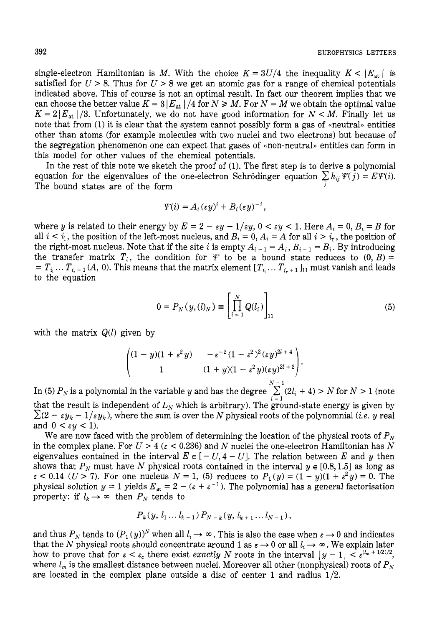single-electron Hamiltonian is *M*. With the choice  $K = 3U/4$  the inequality  $K < |E_{at}|$  is satisfied for  $U > 8$ . Thus for  $U > 8$  we get an atomic gas for a range of chemical potentials indicated above. This of course is not an optimal result. In fact our theorem implies that we can choose the better value  $K = 3 |E_{at}| / 4$  for  $N \ge M$ . For  $N = M$  we obtain the optimal value  $K = 2|E_{at}|/3$ . Unfortunately, we do not have good information for  $N < M$ . Finally let us note that from (1) it is clear that the system cannot possibly form a gas of «neutral» entities other than atoms (for example molecules with two nuclei and two electrons) but because of the segregation phenomenon one can expect that gases of «non-neutral» entities can form in this model for other values of the chemical potentials.

In the rest of this note we sketch the proof of *(1).* The first step is to derive a polynomial equation for the eigenvalues of the one-electron Schrödinger equation  $\sum h_{ij} \Psi(j) = E \Psi(i)$ . The bound states are of the form *<sup>j</sup>*

$$
\Psi(i) = A_i(\varepsilon y)^i + B_i(\varepsilon y)^{-i},
$$

where *y* is related to their energy by  $E = 2 - \varepsilon y - 1/\varepsilon y$ ,  $0 < \varepsilon y < 1$ . Here  $A_i = 0$ ,  $B_i = B$  for all  $i < i_1$ , the position of the left-most nucleus, and  $B_i = 0$ ,  $A_i = A$  for all  $i > i_r$ , the position of the right-most nucleus. Note that if the site *i* is empty  $A_{i-1} = A_i$ ,  $B_{i-1} = B_i$ . By introducing the transfer matrix  $T_i$ , the condition for  $\mathcal V$  to be a bound state reduces to  $(0, B)$  =  $T_i$ ,  $T_{i+1}(A, 0)$ . This means that the matrix element  $[T_{i_1} \ldots T_{i_r+1}]_{11}$  must vanish and leads to the equation

$$
0 = P_N(y, (l)_N) \equiv \left[ \prod_{i=1}^N Q(l_i) \right]_{11}
$$
 (5)

with the matrix  $Q(l)$  given by

Given by

\n
$$
\begin{pmatrix}\n(1-y)(1+\varepsilon^2 y) & -\varepsilon^{-2}(1-\varepsilon^2)^2(\varepsilon y)^{2l+4} \\
1 & (1+y)(1-\varepsilon^2 y)(\varepsilon y)^{2l+2}\n\end{pmatrix}.
$$
\nl in the variable  $y$  and has the degree

\n
$$
\sum_{i=1}^{N-1} (2l_i + 1)^2 \left( \sum_{i=1}^{N-1} (2l_i + 1)^2 \right)
$$

In (5)  $P_N$  is a polynomial in the variable y and has the degree  $\sum_{i=1}^{N-1} (2l_i + 4) > N$  for  $N > 1$  (note that the result is independent of  $L<sub>N</sub>$  which is arbitrary). The ground-state energy is given by  $\sum (2 - \varepsilon y_k - 1/\varepsilon y_k)$ , where the sum is over the *N* physical roots of the polynomnial *(i.e. y* real and  $0 < \varepsilon y < 1$ ).

We are now faced with the problem of determining the location of the physical roots of  $P<sub>N</sub>$ in the complex plane. For  $U > 4$  ( $\varepsilon < 0.236$ ) and N nuclei the one-electron Hamiltonian has N eigenvalues contained in the interval  $E \in [-U, 4-U]$ . The relation between E and y then shows that  $P_N$  must have N physical roots contained in the interval  $y \in [0.8, 1.5]$  as long as **E** is that  $P_N$  must have N physical roots contained in the interval  $y \in [0.8, 1.5]$  as long as  $\varepsilon < 0.14$  ( $U > 7$ ). For one nucleus  $N = 1$ , (5) reduces to  $P_1(y) = (1 - y)(1 + \varepsilon^2 y) = 0$ . The  $\varepsilon$  < 0.14 (*U* > 7). For one nucleus  $N = 1$ , (b) reduces to  $P_1(y) = (1 - y)(1 + \varepsilon^2 y) = 0$ . The physical solution  $y = 1$  yields  $E_{at} = 2 - (\varepsilon + \varepsilon^{-1})$ . The polynomial has a general factorisation property: if  $l_k \rightarrow \infty$  then  $P_N$  tends to

$$
P_k(y, l_1...l_{k-1}) P_{N-k}(y, l_{k+1}...l_{N-1}),
$$

and thus  $P_N$  tends to  $(P_1(y))^N$  when all  $l_i \to \infty$ . This is also the case when  $\varepsilon \to 0$  and indicates that the *N* physical roots should concentrate around 1 as  $\varepsilon \to 0$  or all  $l_i \to \infty$ . We explain later how to prove that for  $\epsilon < \epsilon_c$  there exist exactly *N* roots in the interval  $|y-1| < \epsilon^{(\ell_m + 1/2)/2}$ , where  $l_m$  is the smallest distance between nuclei. Moreover all other (nonphysical) roots of  $P_N$ are located in the complex plane outside a disc of center *1* and radius *1/2.*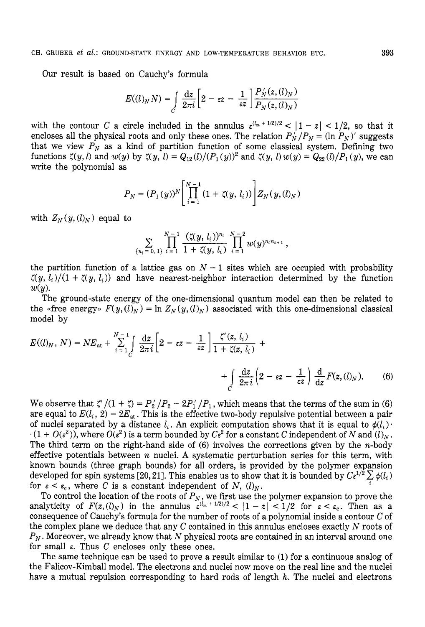Our result is based on Cauchy's formula

$$
E((l)_N N) = \int\limits_C \frac{\mathrm{d}z}{2\pi i} \left[2 - \varepsilon z - \frac{1}{\varepsilon z} \right] \frac{P_N'(z, (l)_N)}{P_N(z, (l)_N)}
$$

with the contour *C* a circle included in the annulus  $\varepsilon^{(l_m + 1/2)/2} < |1 - z| < 1/2$ , so that it encloses all the physical roots and only these ones. The relation  $P'_N/P_N = (\ln P_N)'$  suggests that we view  $P_N$  as a kind of partition function of some classical system. Defining two functions  $\zeta(y, l)$  and  $w(y)$  by  $\zeta(y, l) = Q_{12}(l)/(P_1(y))^2$  and  $\zeta(y, l) w(y) = Q_{22}(l)/P_1(y)$ , we can write the polynomial as

$$
P_N = (P_1(y))^N \left[ \prod_{i=1}^{N-1} (1 + \zeta(y, l_i)) \right] Z_N(y, (l)_N)
$$

with  $Z_N(y, (l)_N)$  equal to

$$
\sum_{\{n_i=0,\ 1\}}\prod_{i=1}^{N-1}\frac{(\zeta(y,\,l_i))^{n_i}}{1+\zeta(y,\,l_i)}\prod_{i=1}^{N-2}w(y)^{n_in_{i+1}},
$$

the partition function of a lattice gas on  $N-1$  sites which are occupied with probability  $\zeta(y, l_i)/(1 + \zeta(y, l_i))$  and have nearest-neighbor interaction determined by the function  $w(y)$ .

The ground-state energy of the one-dimensional quantum model can then be related to the «free energy»  $F(y, (l)_N) = \ln Z_N(y, (l)_N)$  associated with this one-dimensional classical model by

$$
E((l)_N, N) = NE_{\text{at}} + \sum_{i=1}^{N-1} \int \frac{\mathrm{d}z}{2\pi i} \left[ 2 - \varepsilon z - \frac{1}{\varepsilon z} \right] \frac{\zeta'(z, l_i)}{1 + \zeta(z, l_i)} + \\ + \int_C \frac{\mathrm{d}z}{2\pi i} \left( 2 - \varepsilon z - \frac{1}{\varepsilon z} \right) \frac{\mathrm{d}}{\mathrm{d}z} F(z, (l)_N). \tag{6}
$$

We observe that  $\zeta'$   $(1 + \zeta) = P_2' / P_2 - 2P_1' / P_1$ , which means that the terms of the sum in (6) are equal to  $E(l_i, 2) - 2E_{at}$ . This is the effective two-body repulsive potential between a pair of nuclei separated by a distance  $l_i$ . An explicit computation shows that it is equal to  $\phi(l_i)$ .  $-(1 + O(\varepsilon^2))$ , where  $O(\varepsilon^2)$  is a term bounded by  $C\varepsilon^2$  for a constant *C* independent of *N* and  $(l)_N$ . The third term on the right-hand side of  $(6)$  involves the corrections given by the *n*-body effective potentials between n nuclei. **A** systematic perturbation series for this term, with known bounds (three graph bounds) for all orders, is provided by the polymer expansion developed for spin systems [20, 21]. This enables us to show that it is bounded by  $C_{\varepsilon}^{1/2} \sum_{i} \phi(l_i)$  for  $\epsilon \leq \varepsilon$ , where *C* is a constant independent of *N (I)* for  $\varepsilon < \varepsilon_c$ , where *C* is a constant independent of *N*,  $(l)_N$ .

To control the location of the roots of  $P_N$ , we first use the polymer expansion to prove the analyticity of  $F(z, (l)_N)$  in the annulus  $\varepsilon^{(l_m + 1/2)/2} < |1 - z| < 1/2$  for  $\varepsilon < \varepsilon_c$ . Then as a consequence of Cauchy's formula for the number of roots of a polynomial inside a contour *C* of the complex plane we deduce that any *C* contained in this annulus encloses exactly *N* roots of *PN* . Moreover, we already know that *N* physical roots are contained in an interval around one for small  $\varepsilon$ . Thus *C* encloses only these ones.

The same technique can be used to prove a result similar to (1) for a continuous analog of the Falicov-Kimball model. The electrons and nuclei now move on the real line and the nuclei have a mutual repulsion corresponding to hard rods of length *h*. The nuclei and electrons